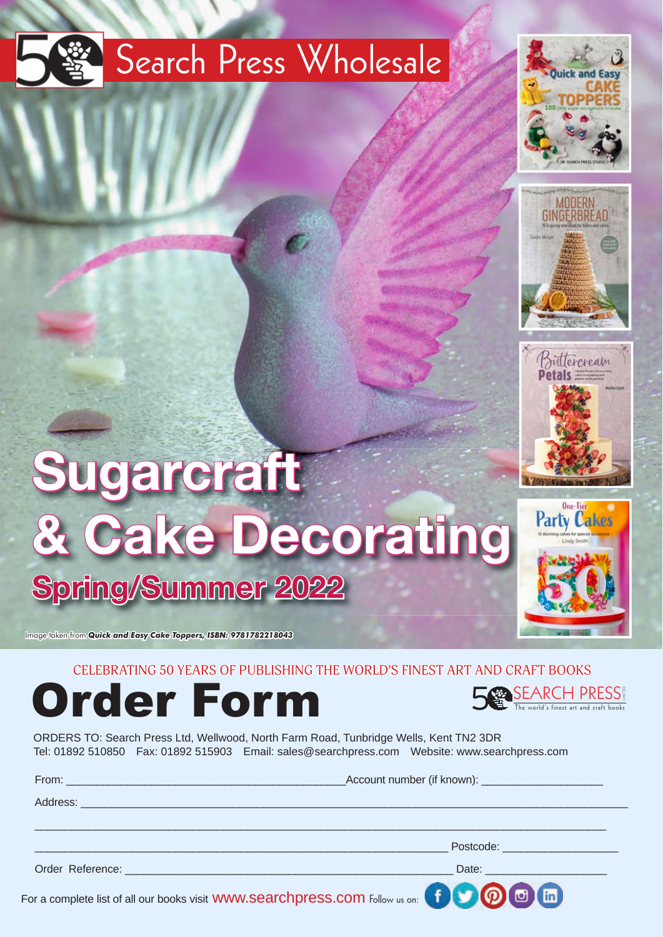## Search Press Wholesale







**Party Cakes** 

# **Sugarcraft & Cake Decorating Spring/Summer 2022**

Image taken from *Quick and Easy Cake Toppers, ISBN: 9781782218043*

#### CELEBRATING 50 YEARS OF PUBLISHING THE WORLD'S FINEST ART AND CRAFT BOOKS



SEARCH PRESS

ORDERS TO: Search Press Ltd, Wellwood, North Farm Road, Tunbridge Wells, Kent TN2 3DR Tel: 01892 510850 Fax: 01892 515903 Email: sales@searchpress.com Website: www.searchpress.com

|                                                                                                                                                                                                                                | Account number (if known): _________________________ |
|--------------------------------------------------------------------------------------------------------------------------------------------------------------------------------------------------------------------------------|------------------------------------------------------|
| Address: North Address: No. 2014. The Commission of the Commission of the Commission of the Commission of the Commission of the Commission of the Commission of the Commission of the Commission of the Commission of the Comm |                                                      |
|                                                                                                                                                                                                                                |                                                      |
|                                                                                                                                                                                                                                | Postcode: New York Postcode:                         |
|                                                                                                                                                                                                                                |                                                      |
|                                                                                                                                                                                                                                | ACAAA                                                |

For a complete list of all our books visit WWW.Searchpress.com Follow us on: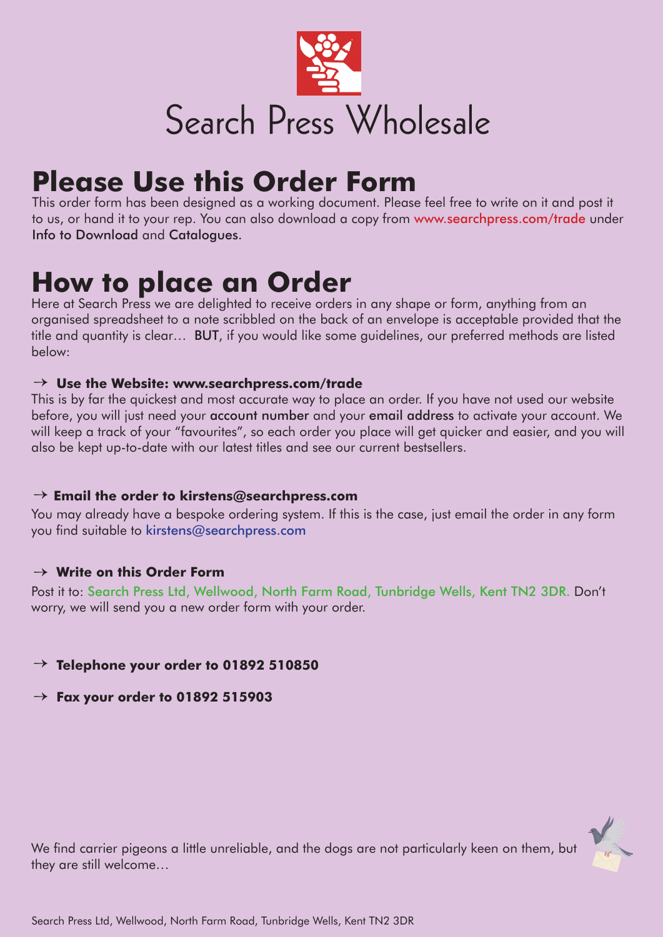

### **Please Use this Order Form**

This order form has been designed as a working document. Please feel free to write on it and post it to us, or hand it to your rep. You can also download a copy from www.searchpress.com/trade under Info to Download and Catalogues.

### **How to place an Order**

Here at Search Press we are delighted to receive orders in any shape or form, anything from an organised spreadsheet to a note scribbled on the back of an envelope is acceptable provided that the title and quantity is clear… BUT, if you would like some guidelines, our preferred methods are listed below:

#### **Use the Website: www.searchpress.com/trade** →

This is by far the quickest and most accurate way to place an order. If you have not used our website before, you will just need your account number and your email address to activate your account. We will keep a track of your "favourites", so each order you place will get quicker and easier, and you will also be kept up-to-date with our latest titles and see our current bestsellers.

### **Email the order to kirstens@searchpress.com** →

You may already have a bespoke ordering system. If this is the case, just email the order in any form you find suitable to kirstens@searchpress.com

### **Write on this Order Form** →

Post it to: Search Press Ltd, Wellwood, North Farm Road, Tunbridge Wells, Kent TN2 3DR. Don't worry, we will send you a new order form with your order.

### **Telephone your order to 01892 510850** →

 **Fax your order to 01892 515903** →

We find carrier pigeons a little unreliable, and the dogs are not particularly keen on them, but they are still welcome…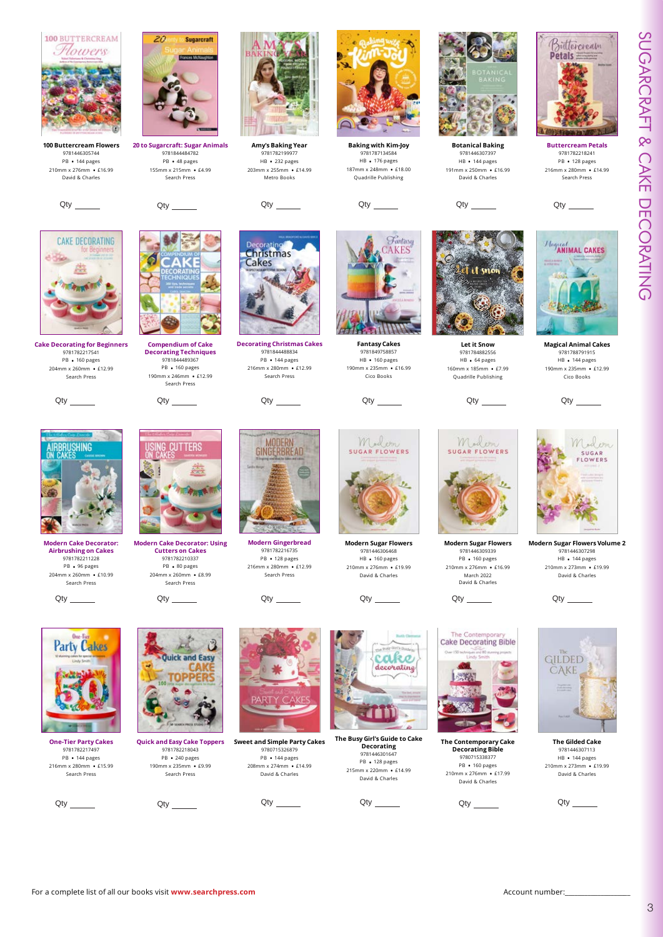



**CAKE DECORATING** 



**20 to Sugarcraft: Sugar Animals** 9781844484782 PB • 48 pages 155mm x 215mm • £4.99 Search Press

**Amy's Baking Year** 9781782199977 HB • 232 pages 203mm x 255mm • £14.99 Metro Books



**Baking with Kim-Joy** 9781787134584 HB • 176 pages 187mm x 248mm • £18.00 Quadrille Publishing

Fantasy

**KES** 



**Botanical Baking** 20111081 Dani HB • 144 pages 191mm x 250mm • £16.99 David & Charles





**Let it Snow** 9781784882556 HB • 64 pages 160mm x 185mm • £7.99 Quadrille Publishing





9781782218241

Buttercream

Petals =

Search Press

**Magical Animal Cakes** 9781788791915 HB • 144 pages 190mm x 235mm • £12.99 Cico Books





**Cake Decorating for Beginners** 9781782217541 PB • 160 pages 204mm x 260mm • £12.99 Search Press

**Modern Cake Decorator: Airbrushing on Cakes** 9781782211228 PB • 96 pages 204mm x 260mm • £10.99 Search Press



**Compendium of Cake Decorating Techniques** 9781844489367 PB • 160 pages 190mm x 246mm • £12.99 Search Press

**Modern Cake Decorator: Using Cutters on Cakes** 9781782210337 PB • 80 pages 204mm x 260mm • £8.99 Search Press



**Decorating Christmas Cakes** 9781844488834 PB • 144 pages 216mm x 280mm • £12.99 Search Press

Christmas Cakes

**Modern Gingerbread** 9781782216735 PB • 128 pages 216mm x 280mm • £12.99 Search Press



**Modern Sugar Flowers** 9781446306468 HB • 160 pages 210mm x 276mm • £19.99 David & Charles

Qty \_\_\_\_\_\_ Qty \_\_\_\_\_\_\_ Qty \_\_\_\_\_\_ Qty \_\_\_\_\_\_\_ Qty \_\_\_\_\_\_



**Modern Sugar Flowers** 9781446309339 PB • 160 pages 210mm x 276mm • £16.99 March 2022 David & Charles



**Sugar Flowers Volume 2** 9781446307298 HB • 144 pages 210mm x 273mm • £19.99 David & Charles



**One-Tier Party Cakes** 9781782217497 PB • 144 pages 216mm x 280mm • £15.99 Search Press



**Quick and Easy Cake Toppers** 9781782218043 PB • 240 pages 190mm x 235mm • £9.99 Search Press



PB • 144 pages 208mm x 274mm • £14.99 David & Charles

Qty \_\_\_\_\_\_\_ Qty \_\_\_\_\_\_\_ Qty \_\_\_\_\_\_\_ Qty \_\_\_\_\_\_\_ Qty \_\_\_\_\_\_\_ Qty



**The Busy Girl's Guide to Cake Decorating** 9781446301647 PB • 128 pages 215mm x 220mm • £14.99 David & Charles



**The Contemporary Cake Decorating Bible** 9780715338377 PB • 160 pages 210mm x 276mm • £17.99 David & Charles



9781446307113 HB • 144 pages 210mm x 273mm • £19.99 David & Charles







**Sweet and Simple Party Cakes** 9780715326879